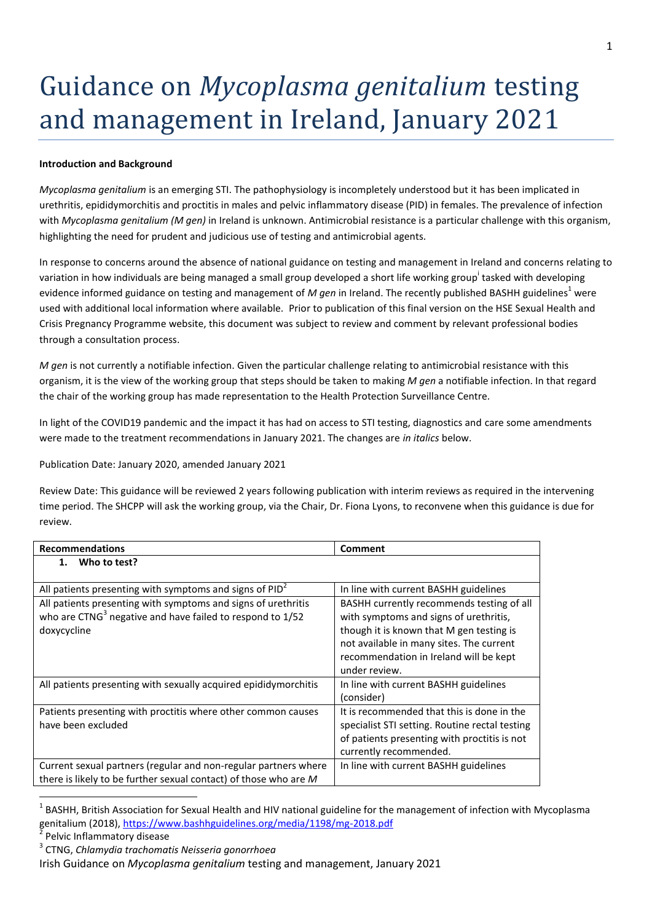## Guidance on *Mycoplasma genitalium* testing and management in Ireland, January 2021

## **Introduction and Background**

*Mycoplasma genitalium* is an emerging STI. The pathophysiology is incompletely understood but it has been implicated in urethritis, epididymorchitis and proctitis in males and pelvic inflammatory disease (PID) in females. The prevalence of infection with *Mycoplasma genitalium (M gen)* in Ireland is unknown. Antimicrobial resistance is a particular challenge with this organism, highlighting the need for prudent and judicious use of testing and antimicrobial agents.

In response to concerns around the absence of national guidance on testing and management in Ireland and concerns relating to variation in how individuals are being managed a small group developed a short life working group<sup>i</sup> tasked with developing evidence informed guidance on testing and management of *M gen* in Ireland. The recently published BASHH guidelines<sup>1</sup> were used with additional local information where available. Prior to publication of this final version on the HSE Sexual Health and Crisis Pregnancy Programme website, this document was subject to review and comment by relevant professional bodies through a consultation process.

*M gen* is not currently a notifiable infection. Given the particular challenge relating to antimicrobial resistance with this organism, it is the view of the working group that steps should be taken to making *M gen* a notifiable infection. In that regard the chair of the working group has made representation to the Health Protection Surveillance Centre.

In light of the COVID19 pandemic and the impact it has had on access to STI testing, diagnostics and care some amendments were made to the treatment recommendations in January 2021. The changes are *in italics* below.

Publication Date: January 2020, amended January 2021

Review Date: This guidance will be reviewed 2 years following publication with interim reviews as required in the intervening time period. The SHCPP will ask the working group, via the Chair, Dr. Fiona Lyons, to reconvene when this guidance is due for review.

| <b>Recommendations</b>                                                                                                                                | <b>Comment</b>                                                                                                                                                                                                                         |
|-------------------------------------------------------------------------------------------------------------------------------------------------------|----------------------------------------------------------------------------------------------------------------------------------------------------------------------------------------------------------------------------------------|
| Who to test?<br>1.                                                                                                                                    |                                                                                                                                                                                                                                        |
| All patients presenting with symptoms and signs of $PID2$                                                                                             | In line with current BASHH guidelines                                                                                                                                                                                                  |
| All patients presenting with symptoms and signs of urethritis<br>who are CTNG <sup>3</sup> negative and have failed to respond to 1/52<br>doxycycline | BASHH currently recommends testing of all<br>with symptoms and signs of urethritis,<br>though it is known that M gen testing is<br>not available in many sites. The current<br>recommendation in Ireland will be kept<br>under review. |
| All patients presenting with sexually acquired epididymorchitis                                                                                       | In line with current BASHH guidelines<br>(consider)                                                                                                                                                                                    |
| Patients presenting with proctitis where other common causes<br>have been excluded                                                                    | It is recommended that this is done in the<br>specialist STI setting. Routine rectal testing<br>of patients presenting with proctitis is not<br>currently recommended.                                                                 |
| Current sexual partners (regular and non-regular partners where<br>there is likely to be further sexual contact) of those who are M                   | In line with current BASHH guidelines                                                                                                                                                                                                  |

<sup>1</sup> BASHH, British Association for Sexual Health and HIV national guideline for the management of infection with Mycoplasma genitalium (2018)[, https://www.bashhguidelines.org/media/1198/mg-2018.pdf](https://www.bashhguidelines.org/media/1198/mg-2018.pdf)

<sup>2</sup> Pelvic Inflammatory disease

**.** 

<sup>3</sup> CTNG, *Chlamydia trachomatis Neisseria gonorrhoea*

Irish Guidance on *Mycoplasma genitalium* testing and management, January 2021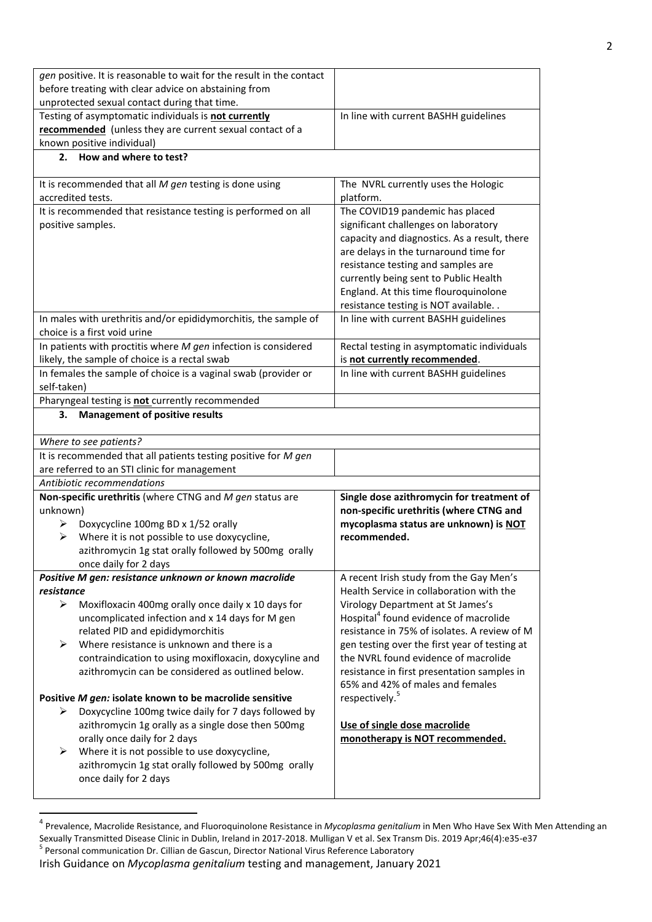| gen positive. It is reasonable to wait for the result in the contact       |                                                   |  |
|----------------------------------------------------------------------------|---------------------------------------------------|--|
| before treating with clear advice on abstaining from                       |                                                   |  |
| unprotected sexual contact during that time.                               |                                                   |  |
| Testing of asymptomatic individuals is not currently                       | In line with current BASHH guidelines             |  |
| recommended (unless they are current sexual contact of a                   |                                                   |  |
| known positive individual)                                                 |                                                   |  |
| How and where to test?<br>2.                                               |                                                   |  |
|                                                                            |                                                   |  |
| It is recommended that all $M$ gen testing is done using                   | The NVRL currently uses the Hologic               |  |
| accredited tests.                                                          | platform.                                         |  |
| It is recommended that resistance testing is performed on all              | The COVID19 pandemic has placed                   |  |
| positive samples.                                                          | significant challenges on laboratory              |  |
|                                                                            | capacity and diagnostics. As a result, there      |  |
|                                                                            | are delays in the turnaround time for             |  |
|                                                                            | resistance testing and samples are                |  |
|                                                                            | currently being sent to Public Health             |  |
|                                                                            | England. At this time flouroquinolone             |  |
|                                                                            | resistance testing is NOT available. .            |  |
| In males with urethritis and/or epididymorchitis, the sample of            | In line with current BASHH guidelines             |  |
| choice is a first void urine                                               |                                                   |  |
| In patients with proctitis where $M$ gen infection is considered           | Rectal testing in asymptomatic individuals        |  |
| likely, the sample of choice is a rectal swab                              | is not currently recommended.                     |  |
| In females the sample of choice is a vaginal swab (provider or             | In line with current BASHH guidelines             |  |
| self-taken)                                                                |                                                   |  |
| Pharyngeal testing is not currently recommended                            |                                                   |  |
| <b>Management of positive results</b><br>З.                                |                                                   |  |
|                                                                            |                                                   |  |
|                                                                            |                                                   |  |
| Where to see patients?                                                     |                                                   |  |
|                                                                            |                                                   |  |
| It is recommended that all patients testing positive for M gen             |                                                   |  |
| are referred to an STI clinic for management<br>Antibiotic recommendations |                                                   |  |
|                                                                            |                                                   |  |
| Non-specific urethritis (where CTNG and M gen status are                   | Single dose azithromycin for treatment of         |  |
| unknown)                                                                   | non-specific urethritis (where CTNG and           |  |
| Doxycycline 100mg BD x 1/52 orally<br>➤                                    | mycoplasma status are unknown) is NOT             |  |
| Where it is not possible to use doxycycline,<br>➤                          | recommended.                                      |  |
| azithromycin 1g stat orally followed by 500mg orally                       |                                                   |  |
| once daily for 2 days                                                      |                                                   |  |
| Positive M gen: resistance unknown or known macrolide                      | A recent Irish study from the Gay Men's           |  |
| resistance                                                                 | Health Service in collaboration with the          |  |
| ➤<br>Moxifloxacin 400mg orally once daily x 10 days for                    | Virology Department at St James's                 |  |
| uncomplicated infection and x 14 days for M gen                            | Hospital <sup>4</sup> found evidence of macrolide |  |
| related PID and epididymorchitis                                           | resistance in 75% of isolates. A review of M      |  |
| Where resistance is unknown and there is a<br>➤                            | gen testing over the first year of testing at     |  |
| contraindication to using moxifloxacin, doxycyline and                     | the NVRL found evidence of macrolide              |  |
| azithromycin can be considered as outlined below.                          | resistance in first presentation samples in       |  |
|                                                                            | 65% and 42% of males and females                  |  |
| Positive M gen: isolate known to be macrolide sensitive                    | respectively. <sup>5</sup>                        |  |
| Doxycycline 100mg twice daily for 7 days followed by<br>➤                  |                                                   |  |
| azithromycin 1g orally as a single dose then 500mg                         | Use of single dose macrolide                      |  |
| orally once daily for 2 days                                               | monotherapy is NOT recommended.                   |  |
| Where it is not possible to use doxycycline,<br>➤                          |                                                   |  |
| azithromycin 1g stat orally followed by 500mg orally                       |                                                   |  |
| once daily for 2 days                                                      |                                                   |  |

<sup>4</sup> [Prevalence, Macrolide Resistance, and Fluoroquinolone Resistance in](https://www.ncbi.nlm.nih.gov/pubmed/30676483) *Mycoplasma genitalium* in Men Who Have Sex With Men Attending an [Sexually Transmitted Disease Clinic in Dublin, Ireland in 2017-2018.](https://www.ncbi.nlm.nih.gov/pubmed/30676483) Mulligan V et al. Sex Transm Dis. 2019 Apr;46(4):e35-e37 <sup>5</sup> Personal communication Dr. Cillian de Gascun, Director National Virus Reference Laboratory

**.** 

Irish Guidance on *Mycoplasma genitalium* testing and management, January 2021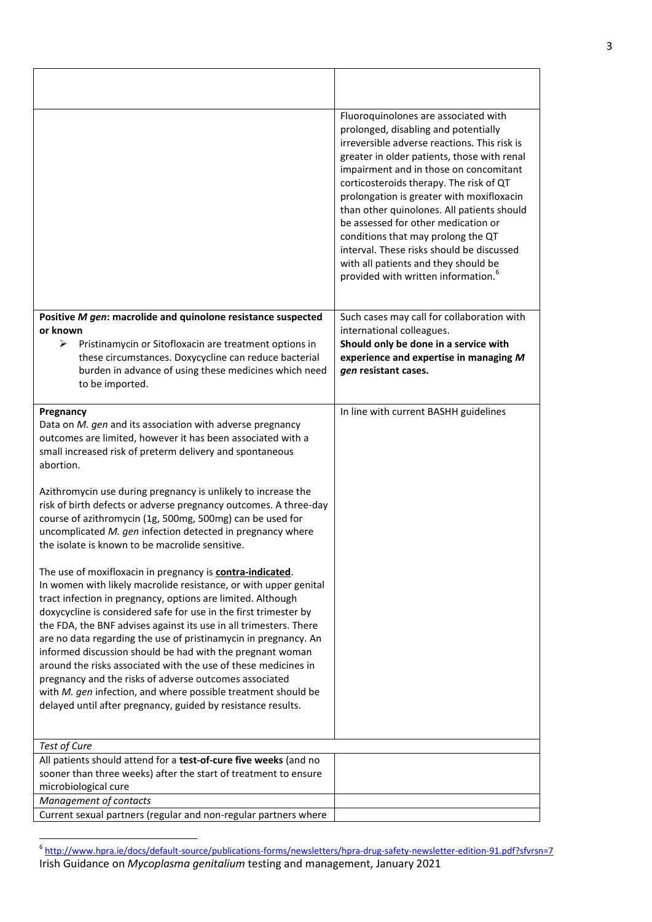|                                                                                                                                                                                                                                                                                                                                                                                                                                                                                                                                                                                                                                                                                                                                            | Fluoroquinolones are associated with<br>prolonged, disabling and potentially<br>irreversible adverse reactions. This risk is<br>greater in older patients, those with renal<br>impairment and in those on concomitant<br>corticosteroids therapy. The risk of QT<br>prolongation is greater with moxifloxacin<br>than other quinolones. All patients should<br>be assessed for other medication or<br>conditions that may prolong the QT<br>interval. These risks should be discussed<br>with all patients and they should be<br>provided with written information. |
|--------------------------------------------------------------------------------------------------------------------------------------------------------------------------------------------------------------------------------------------------------------------------------------------------------------------------------------------------------------------------------------------------------------------------------------------------------------------------------------------------------------------------------------------------------------------------------------------------------------------------------------------------------------------------------------------------------------------------------------------|---------------------------------------------------------------------------------------------------------------------------------------------------------------------------------------------------------------------------------------------------------------------------------------------------------------------------------------------------------------------------------------------------------------------------------------------------------------------------------------------------------------------------------------------------------------------|
| Positive M gen: macrolide and quinolone resistance suspected                                                                                                                                                                                                                                                                                                                                                                                                                                                                                                                                                                                                                                                                               | Such cases may call for collaboration with                                                                                                                                                                                                                                                                                                                                                                                                                                                                                                                          |
| or known                                                                                                                                                                                                                                                                                                                                                                                                                                                                                                                                                                                                                                                                                                                                   | international colleagues.                                                                                                                                                                                                                                                                                                                                                                                                                                                                                                                                           |
| Pristinamycin or Sitofloxacin are treatment options in<br>⋗<br>these circumstances. Doxycycline can reduce bacterial<br>burden in advance of using these medicines which need<br>to be imported.                                                                                                                                                                                                                                                                                                                                                                                                                                                                                                                                           | Should only be done in a service with<br>experience and expertise in managing M<br>gen resistant cases.                                                                                                                                                                                                                                                                                                                                                                                                                                                             |
| Pregnancy                                                                                                                                                                                                                                                                                                                                                                                                                                                                                                                                                                                                                                                                                                                                  | In line with current BASHH guidelines                                                                                                                                                                                                                                                                                                                                                                                                                                                                                                                               |
| Data on M. gen and its association with adverse pregnancy<br>outcomes are limited, however it has been associated with a<br>small increased risk of preterm delivery and spontaneous<br>abortion.                                                                                                                                                                                                                                                                                                                                                                                                                                                                                                                                          |                                                                                                                                                                                                                                                                                                                                                                                                                                                                                                                                                                     |
| Azithromycin use during pregnancy is unlikely to increase the<br>risk of birth defects or adverse pregnancy outcomes. A three-day<br>course of azithromycin (1g, 500mg, 500mg) can be used for<br>uncomplicated M. gen infection detected in pregnancy where<br>the isolate is known to be macrolide sensitive.                                                                                                                                                                                                                                                                                                                                                                                                                            |                                                                                                                                                                                                                                                                                                                                                                                                                                                                                                                                                                     |
| The use of moxifloxacin in pregnancy is <b>contra-indicated</b> .<br>In women with likely macrolide resistance, or with upper genital<br>tract infection in pregnancy, options are limited. Although<br>doxycycline is considered safe for use in the first trimester by<br>the FDA, the BNF advises against its use in all trimesters. There<br>are no data regarding the use of pristinamycin in pregnancy. An<br>informed discussion should be had with the pregnant woman<br>around the risks associated with the use of these medicines in<br>pregnancy and the risks of adverse outcomes associated<br>with M. gen infection, and where possible treatment should be<br>delayed until after pregnancy, guided by resistance results. |                                                                                                                                                                                                                                                                                                                                                                                                                                                                                                                                                                     |
|                                                                                                                                                                                                                                                                                                                                                                                                                                                                                                                                                                                                                                                                                                                                            |                                                                                                                                                                                                                                                                                                                                                                                                                                                                                                                                                                     |
| Test of Cure<br>All patients should attend for a test-of-cure five weeks (and no                                                                                                                                                                                                                                                                                                                                                                                                                                                                                                                                                                                                                                                           |                                                                                                                                                                                                                                                                                                                                                                                                                                                                                                                                                                     |
| sooner than three weeks) after the start of treatment to ensure                                                                                                                                                                                                                                                                                                                                                                                                                                                                                                                                                                                                                                                                            |                                                                                                                                                                                                                                                                                                                                                                                                                                                                                                                                                                     |
| microbiological cure                                                                                                                                                                                                                                                                                                                                                                                                                                                                                                                                                                                                                                                                                                                       |                                                                                                                                                                                                                                                                                                                                                                                                                                                                                                                                                                     |
| Management of contacts<br>Current sexual partners (regular and non-regular partners where                                                                                                                                                                                                                                                                                                                                                                                                                                                                                                                                                                                                                                                  |                                                                                                                                                                                                                                                                                                                                                                                                                                                                                                                                                                     |
|                                                                                                                                                                                                                                                                                                                                                                                                                                                                                                                                                                                                                                                                                                                                            |                                                                                                                                                                                                                                                                                                                                                                                                                                                                                                                                                                     |

Irish Guidance on *Mycoplasma genitalium* testing and management, January 2021 \_<br><sup>6</sup> <http://www.hpra.ie/docs/default-source/publications-forms/newsletters/hpra-drug-safety-newsletter-edition-91.pdf?sfvrsn=7>